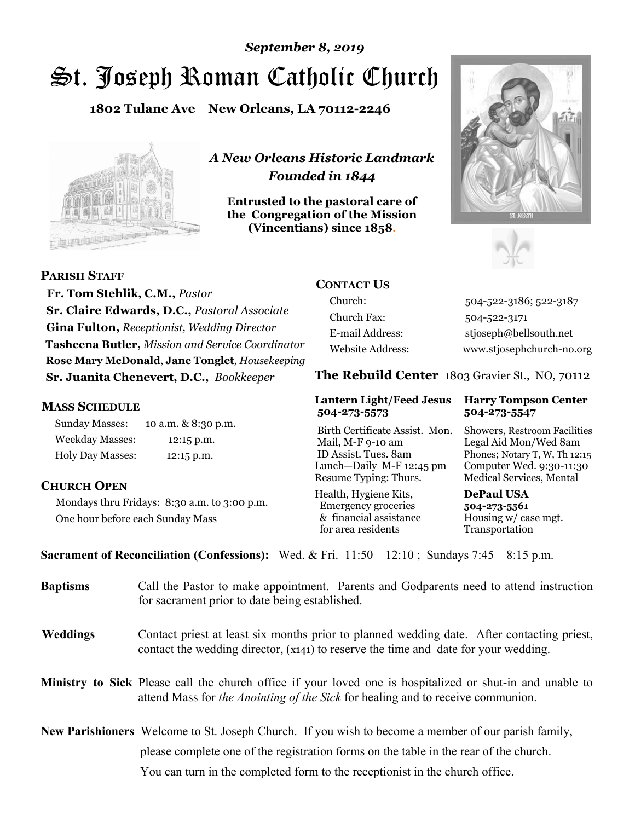# St. Joseph Roman Catholic Church *September 8, 2019*

**1802 Tulane Ave New Orleans, LA 70112-2246**



*A New Orleans Historic Landmark Founded in 1844* 

**Entrusted to the pastoral care of the Congregation of the Mission (Vincentians) since 1858**.





 **Fr. Tom Stehlik, C.M.,** *Pastor* **Sr. Claire Edwards, D.C.,** *Pastoral Associate* 

**Gina Fulton,** *Receptionist, Wedding Director* **Tasheena Butler,** *Mission and Service Coordinator* **Rose Mary McDonald**, **Jane Tonglet**, *Housekeeping* **Sr. Juanita Chenevert, D.C.,** *Bookkeeper* 

### **MASS SCHEDULE**

**PARISH STAFF**

Sunday Masses: 10 a.m. & 8:30 p.m. Weekday Masses: 12:15 p.m. Holy Day Masses: 12:15 p.m.

### **CHURCH OPEN**

Mondays thru Fridays: 8:30 a.m. to 3:00 p.m. One hour before each Sunday Mass

## **CONTACT US**

Church: 504-522-3186; 522-3187 Church Fax: 504-522-3171 E-mail Address: stjoseph@bellsouth.net Website Address: www.stjosephchurch-no.org

**The Rebuild Center** 1803 Gravier St., NO, 70112

#### **Lantern Light/Feed Jesus Harry Tompson Center 504-273-5573 504-273-5547**

Birth Certificate Assist. Mon. Showers, Restroom Facilities Mail, M-F 9-10 am Legal Aid Mon/Wed 8am ID Assist. Tues. 8am Phones; Notary T, W, Th 12:15 Lunch—Daily M-F 12:45 pm Computer Wed. 9:30-11:30 Resume Typing: Thurs. Medical Services, Mental

Health, Hygiene Kits, **DePaul USA**  Emergency groceries **504-273-5561** & financial assistance Housing w/ case mgt. for area residents Transportation

**Sacrament of Reconciliation (Confessions):** Wed. & Fri. 11:50—12:10 ; Sundays 7:45—8:15 p.m.

| <b>Baptisms</b> | Call the Pastor to make appointment. Parents and Godparents need to attend instruction<br>for sacrament prior to date being established.                                                                   |  |
|-----------------|------------------------------------------------------------------------------------------------------------------------------------------------------------------------------------------------------------|--|
| <b>Weddings</b> | Contact priest at least six months prior to planned wedding date. After contacting priest,<br>contact the wedding director, (x141) to reserve the time and date for your wedding.                          |  |
|                 | <b>Ministry to Sick</b> Please call the church office if your loved one is hospitalized or shut-in and unable to<br>attend Mass for <i>the Anointing of the Sick</i> for healing and to receive communion. |  |
|                 | <b>New Parishioners</b> Welcome to St. Joseph Church. If you wish to become a member of our parish family,                                                                                                 |  |
|                 | please complete one of the registration forms on the table in the rear of the church.                                                                                                                      |  |
|                 | You can turn in the completed form to the receptionist in the church office.                                                                                                                               |  |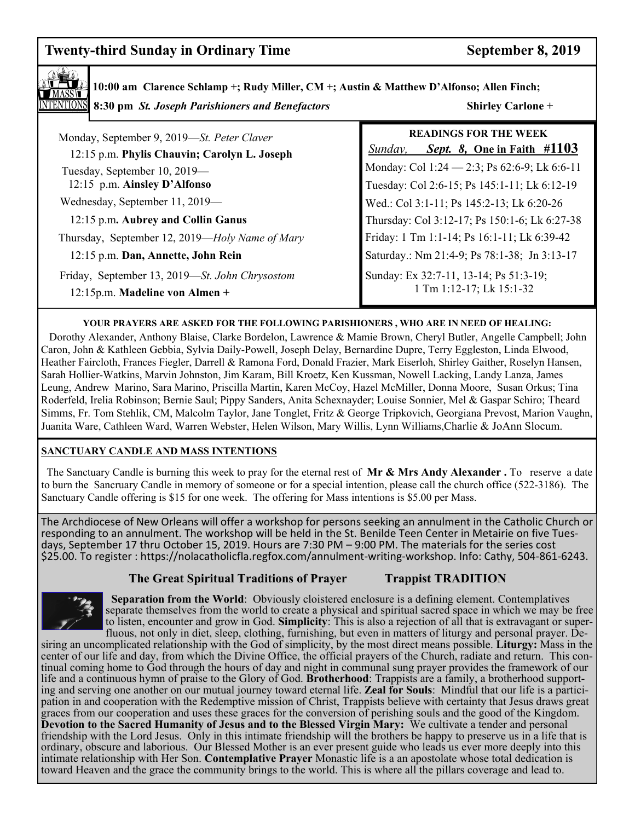# **Twenty-third Sunday in Ordinary Time September 8, 2019**



**10:00 am Clarence Schlamp +; Rudy Miller, CM +; Austin & Matthew D'Alfonso; Allen Finch; 8:30 pm** *St. Joseph Parishioners and Benefactors* **Shirley Carlone +** 

| Monday, September 9, 2019—St. Peter Claver<br>12:15 p.m. Phylis Chauvin; Carolyn L. Joseph | <b>READINGS FOR THE WEEK</b><br>Sept. 8, One in Faith #1103<br>Sunday,                    |
|--------------------------------------------------------------------------------------------|-------------------------------------------------------------------------------------------|
| Tuesday, September 10, 2019—<br>12:15 p.m. Ainsley D'Alfonso                               | Monday: Col 1:24 - 2:3; Ps 62:6-9; Lk 6:6-11                                              |
| Wednesday, September 11, 2019—                                                             | Tuesday: Col 2:6-15; Ps 145:1-11; Lk 6:12-19<br>Wed.: Col 3:1-11; Ps 145:2-13; Lk 6:20-26 |
| 12:15 p.m. Aubrey and Collin Ganus                                                         | Thursday: Col 3:12-17; Ps 150:1-6; Lk 6:27-38                                             |
| Thursday, September 12, 2019—Holy Name of Mary                                             | Friday: 1 Tm 1:1-14; Ps 16:1-11; Lk 6:39-42                                               |
| 12:15 p.m. Dan, Annette, John Rein                                                         | Saturday.: Nm 21:4-9; Ps 78:1-38; Jn 3:13-17                                              |
| Friday, September 13, 2019—St. John Chrysostom<br>$12:15p.m.$ Madeline von Almen +         | Sunday: Ex 32:7-11, 13-14; Ps 51:3-19;<br>1 Tm 1:12-17; Lk 15:1-32                        |

#### **YOUR PRAYERS ARE ASKED FOR THE FOLLOWING PARISHIONERS , WHO ARE IN NEED OF HEALING:**

 Dorothy Alexander, Anthony Blaise, Clarke Bordelon, Lawrence & Mamie Brown, Cheryl Butler, Angelle Campbell; John Caron, John & Kathleen Gebbia, Sylvia Daily-Powell, Joseph Delay, Bernardine Dupre, Terry Eggleston, Linda Elwood, Heather Faircloth, Frances Fiegler, Darrell & Ramona Ford, Donald Frazier, Mark Eiserloh, Shirley Gaither, Roselyn Hansen, Sarah Hollier-Watkins, Marvin Johnston, Jim Karam, Bill Kroetz, Ken Kussman, Nowell Lacking, Landy Lanza, James Leung, Andrew Marino, Sara Marino, Priscilla Martin, Karen McCoy, Hazel McMiller, Donna Moore, Susan Orkus; Tina Roderfeld, Irelia Robinson; Bernie Saul; Pippy Sanders, Anita Schexnayder; Louise Sonnier, Mel & Gaspar Schiro; Theard Simms, Fr. Tom Stehlik, CM, Malcolm Taylor, Jane Tonglet, Fritz & George Tripkovich, Georgiana Prevost, Marion Vaughn, Juanita Ware, Cathleen Ward, Warren Webster, Helen Wilson, Mary Willis, Lynn Williams,Charlie & JoAnn Slocum.

#### **SANCTUARY CANDLE AND MASS INTENTIONS**

 The Sanctuary Candle is burning this week to pray for the eternal rest of **Mr & Mrs Andy Alexander .** To reserve a date to burn the Sancruary Candle in memory of someone or for a special intention, please call the church office (522-3186). The Sanctuary Candle offering is \$15 for one week. The offering for Mass intentions is \$5.00 per Mass.

The Archdiocese of New Orleans will offer a workshop for persons seeking an annulment in the Catholic Church or responding to an annulment. The workshop will be held in the St. Benilde Teen Center in Metairie on five Tuesdays, September 17 thru October 15, 2019. Hours are 7:30 PM – 9:00 PM. The materials for the series cost \$25.00. To register : https://nolacatholicfla.regfox.com/annulment-writing-workshop. Info: Cathy, 504-861-6243.

# **The Great Spiritual Traditions of Prayer Trappist TRADITION**



**Separation from the World:** Obviously cloistered enclosure is a defining element. Contemplatives separate themselves from the world to create a physical and spiritual sacred space in which we may be free to listen, encounter and grow in God. **Simplicity**: This is also a rejection of all that is extravagant or superfluous, not only in diet, sleep, clothing, furnishing, but even in matters of liturgy and personal prayer. De-

siring an uncomplicated relationship with the God of simplicity, by the most direct means possible. **Liturgy:** Mass in the center of our life and day, from which the Divine Office, the official prayers of the Church, radiate and return. This continual coming home to God through the hours of day and night in communal sung prayer provides the framework of our life and a continuous hymn of praise to the Glory of God. **Brotherhood**: Trappists are a family, a brotherhood supporting and serving one another on our mutual journey toward eternal life. **Zeal for Souls**: Mindful that our life is a participation in and cooperation with the Redemptive mission of Christ, Trappists believe with certainty that Jesus draws great graces from our cooperation and uses these graces for the conversion of perishing souls and the good of the Kingdom. **Devotion to the Sacred Humanity of Jesus and to the Blessed Virgin Mary:** We cultivate a tender and personal friendship with the Lord Jesus. Only in this intimate friendship will the brothers be happy to preserve us in a life that is ordinary, obscure and laborious. Our Blessed Mother is an ever present guide who leads us ever more deeply into this intimate relationship with Her Son. **Contemplative Prayer** Monastic life is a an apostolate whose total dedication is toward Heaven and the grace the community brings to the world. This is where all the pillars coverage and lead to.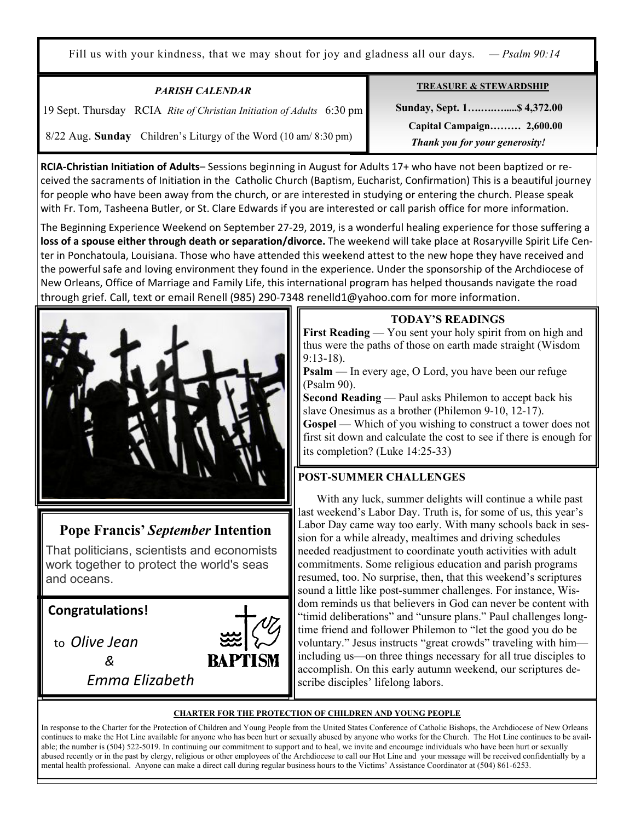Fill us with your kindness, that we may shout for joy and gladness all our days. *— Psalm 90:14*

| <b>PARISH CALENDAR</b>                                                | <b>TREASURE &amp; STEWARDSHIP</b>                           |
|-----------------------------------------------------------------------|-------------------------------------------------------------|
| 19 Sept. Thursday RCIA Rite of Christian Initiation of Adults 6:30 pm |                                                             |
| 8/22 Aug. Sunday Children's Liturgy of the Word (10 am/ 8:30 pm)      | Capital Campaign 2,600.00<br>Thank you for your generosity! |

**RCIA-Christian Initiation of Adults**– Sessions beginning in August for Adults 17+ who have not been baptized or received the sacraments of Initiation in the Catholic Church (Baptism, Eucharist, Confirmation) This is a beautiful journey for people who have been away from the church, or are interested in studying or entering the church. Please speak with Fr. Tom, Tasheena Butler, or St. Clare Edwards if you are interested or call parish office for more information.

The Beginning Experience Weekend on September 27-29, 2019, is a wonderful healing experience for those suffering a **loss of a spouse either through death or separation/divorce.** The weekend will take place at Rosaryville Spirit Life Center in Ponchatoula, Louisiana. Those who have attended this weekend attest to the new hope they have received and the powerful safe and loving environment they found in the experience. Under the sponsorship of the Archdiocese of New Orleans, Office of Marriage and Family Life, this international program has helped thousands navigate the road through grief. Call, text or email Renell (985) 290-7348 renelld1@yahoo.com for more information.



# **Pope Francis'** *September* **Intention**

That politicians, scientists and economists work together to protect the world's seas and oceans.

*Emma Elizabeth* 

**Congratulations!** 

Ξ

 to *Olive Jean &* 



# **TODAY'S READINGS**

**First Reading** — You sent your holy spirit from on high and thus were the paths of those on earth made straight (Wisdom 9:13-18).

**Psalm** — In every age, O Lord, you have been our refuge (Psalm 90).

**Second Reading** — Paul asks Philemon to accept back his slave Onesimus as a brother (Philemon 9-10, 12-17).

**Gospel** — Which of you wishing to construct a tower does not first sit down and calculate the cost to see if there is enough for its completion? (Luke 14:25-33)

## **POST-SUMMER CHALLENGES**

 With any luck, summer delights will continue a while past last weekend's Labor Day. Truth is, for some of us, this year's Labor Day came way too early. With many schools back in session for a while already, mealtimes and driving schedules needed readjustment to coordinate youth activities with adult commitments. Some religious education and parish programs resumed, too. No surprise, then, that this weekend's scriptures sound a little like post-summer challenges. For instance, Wisdom reminds us that believers in God can never be content with "timid deliberations" and "unsure plans." Paul challenges longtime friend and follower Philemon to "let the good you do be voluntary." Jesus instructs "great crowds" traveling with him including us—on three things necessary for all true disciples to accomplish. On this early autumn weekend, our scriptures describe disciples' lifelong labors.

#### **CHARTER FOR THE PROTECTION OF CHILDREN AND YOUNG PEOPLE**

In response to the Charter for the Protection of Children and Young People from the United States Conference of Catholic Bishops, the Archdiocese of New Orleans continues to make the Hot Line available for anyone who has been hurt or sexually abused by anyone who works for the Church. The Hot Line continues to be available; the number is (504) 522-5019. In continuing our commitment to support and to heal, we invite and encourage individuals who have been hurt or sexually abused recently or in the past by clergy, religious or other employees of the Archdiocese to call our Hot Line and your message will be received confidentially by a mental health professional. Anyone can make a direct call during regular business hours to the Victims' Assistance Coordinator at (504) 861-6253.